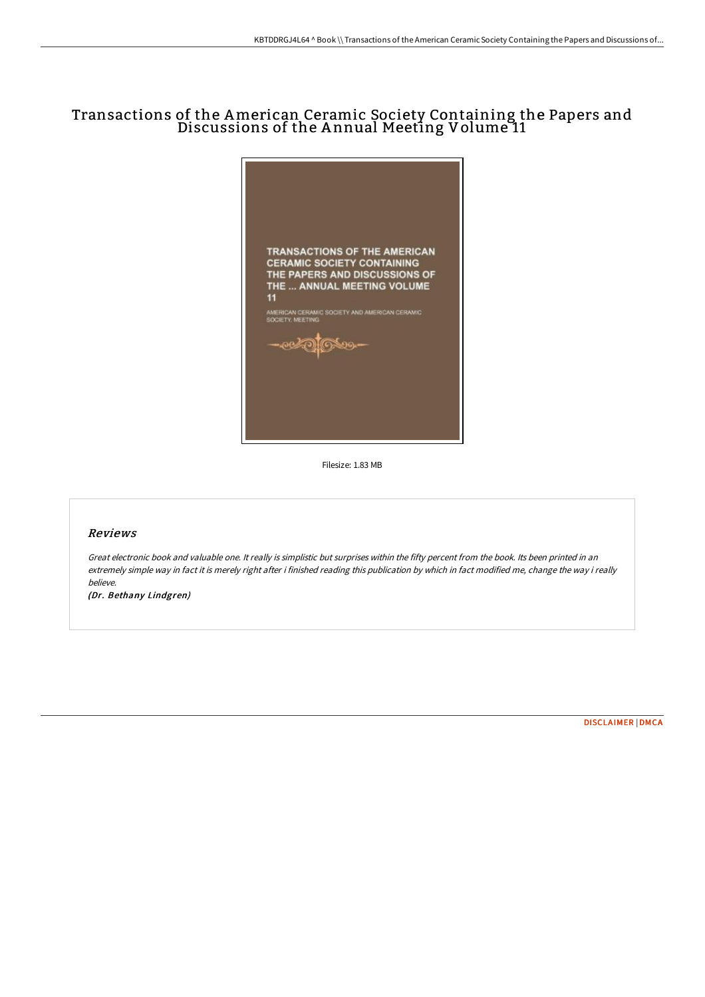# Transactions of the American Ceramic Society Containing the Papers and Discussions of the A nnual Meeting Volume 11



Filesize: 1.83 MB

#### Reviews

Great electronic book and valuable one. It really is simplistic but surprises within the fifty percent from the book. Its been printed in an extremely simple way in fact it is merely right after i finished reading this publication by which in fact modified me, change the way i really believe.

(Dr. Bethany Lindgren)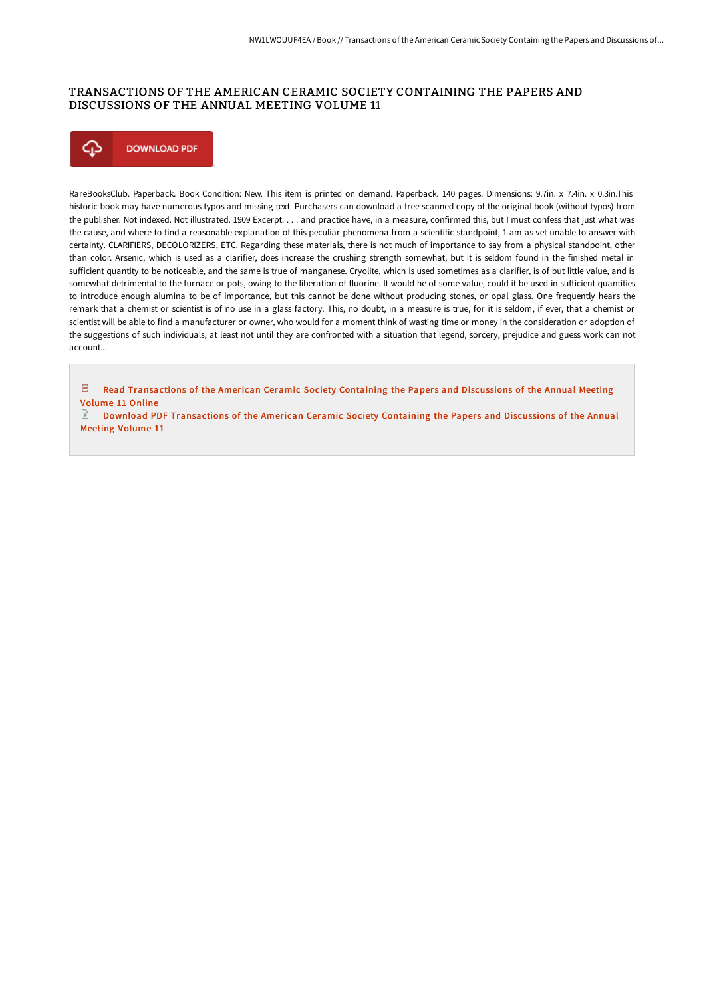### TRANSACTIONS OF THE AMERICAN CERAMIC SOCIETY CONTAINING THE PAPERS AND DISCUSSIONS OF THE ANNUAL MEETING VOLUME 11



RareBooksClub. Paperback. Book Condition: New. This item is printed on demand. Paperback. 140 pages. Dimensions: 9.7in. x 7.4in. x 0.3in.This historic book may have numerous typos and missing text. Purchasers can download a free scanned copy of the original book (without typos) from the publisher. Not indexed. Not illustrated. 1909 Excerpt: . . . and practice have, in a measure, confirmed this, but I must confess that just what was the cause, and where to find a reasonable explanation of this peculiar phenomena from a scientific standpoint, 1 am as vet unable to answer with certainty. CLARIFIERS, DECOLORIZERS, ETC. Regarding these materials, there is not much of importance to say from a physical standpoint, other than color. Arsenic, which is used as a clarifier, does increase the crushing strength somewhat, but it is seldom found in the finished metal in sufficient quantity to be noticeable, and the same is true of manganese. Cryolite, which is used sometimes as a clarifier, is of but little value, and is somewhat detrimental to the furnace or pots, owing to the liberation of fluorine. It would he of some value, could it be used in sufficient quantities to introduce enough alumina to be of importance, but this cannot be done without producing stones, or opal glass. One frequently hears the remark that a chemist or scientist is of no use in a glass factory. This, no doubt, in a measure is true, for it is seldom, if ever, that a chemist or scientist will be able to find a manufacturer or owner, who would for a moment think of wasting time or money in the consideration or adoption of the suggestions of such individuals, at least not until they are confronted with a situation that legend, sorcery, prejudice and guess work can not account...

 $\overline{\text{pos}}$ Read [Transactions](http://digilib.live/transactions-of-the-american-ceramic-society-con-8.html) of the American Ceramic Society Containing the Papers and Discussions of the Annual Meeting Volume 11 Online

Download PDF [Transactions](http://digilib.live/transactions-of-the-american-ceramic-society-con-8.html) of the American Ceramic Society Containing the Papers and Discussions of the Annual Meeting Volume 11